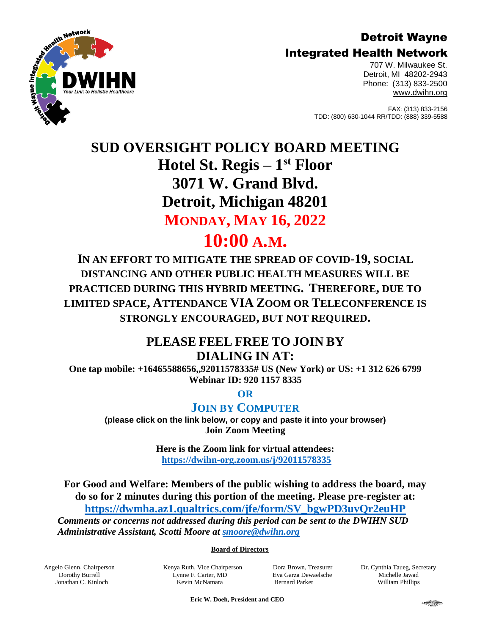## Detroit Wayne Integrated Health Network



707 W. Milwaukee St. Detroit, MI 48202-2943 Phone: (313) 833-2500 [www.dwihn.org](http://www.dwmha.com/)

FAX: (313) 833-2156 TDD: (800) 630-1044 RR/TDD: (888) 339-5588

# **SUD OVERSIGHT POLICY BOARD MEETING Hotel St. Regis – 1 st Floor 3071 W. Grand Blvd. Detroit, Michigan 48201 MONDAY, MAY 16, 2022 10:00 A.M.**

**IN AN EFFORT TO MITIGATE THE SPREAD OF COVID-19, SOCIAL DISTANCING AND OTHER PUBLIC HEALTH MEASURES WILL BE PRACTICED DURING THIS HYBRID MEETING. THEREFORE, DUE TO LIMITED SPACE, ATTENDANCE VIA ZOOM OR TELECONFERENCE IS STRONGLY ENCOURAGED, BUT NOT REQUIRED.**

# **PLEASE FEEL FREE TO JOIN BY DIALING IN AT:**

**One tap mobile: +16465588656,,92011578335# US (New York) or US: +1 312 626 6799 Webinar ID: 920 1157 8335**

**OR** 

## **JOIN BY COMPUTER**

**(please click on the link below, or copy and paste it into your browser) Join Zoom Meeting** 

> **Here is the Zoom link for virtual attendees: <https://dwihn-org.zoom.us/j/92011578335>**

**For Good and Welfare: Members of the public wishing to address the board, may do so for 2 minutes during this portion of the meeting. Please pre-register at: [https://dwmha.az1.qualtrics.com/jfe/form/SV\\_bgwPD3uvQr2euHP](https://dwmha.az1.qualtrics.com/jfe/form/SV_bgwPD3uvQr2euHP)** *Comments or concerns not addressed during this period can be sent to the DWIHN SUD Administrative Assistant, Scotti Moore at [smoore@dwihn.org](mailto:smoore@dwihn.org)*

#### **Board of Directors**

Angelo Glenn, Chairperson Dorothy Burrell Jonathan C. Kinloch

Kenya Ruth, Vice Chairperson Lynne F. Carter, MD Kevin McNamara

Dora Brown, Treasurer Eva Garza Dewaelsche Bernard Parker

Dr. Cynthia Taueg, Secretary Michelle Jawad William Phillips

 **Eric W. Doeh, President and CEO**